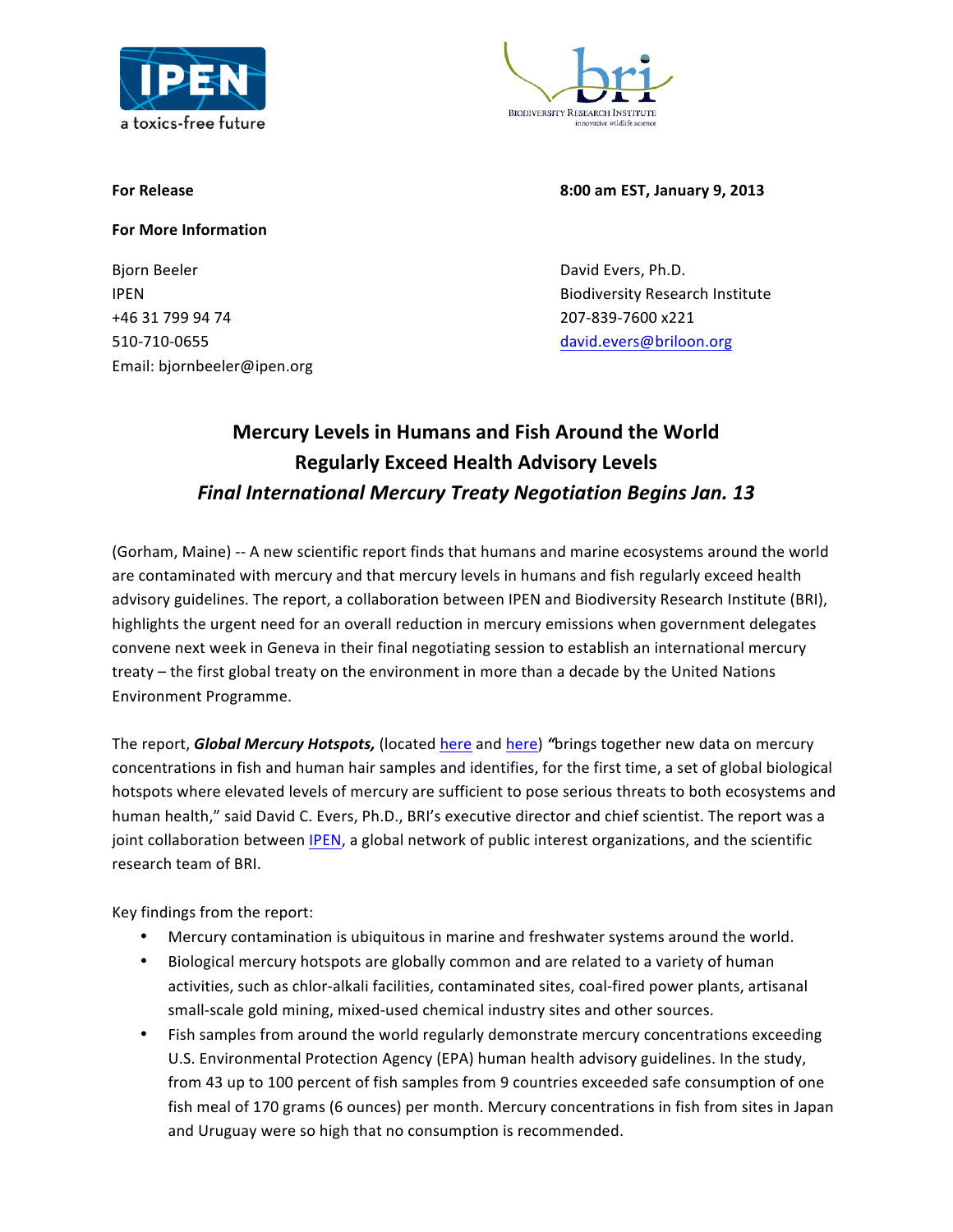



**For Release 8:00 am EST, January 9, 2013** 

**For More Information**

Bjorn Beeler **David Evers, Ph.D.** David Evers, Ph.D. +46 31 799 94 74 207-839-7600 x221 510-710-0655 david.evers@briloon.org Email: bjornbeeler@ipen.org

IPEN Biodiversity Research Institute

## **Mercury Levels in Humans and Fish Around the World Regularly Exceed Health Advisory Levels Final International Mercury Treaty Negotiation Begins Jan. 13**

(Gorham, Maine) -- A new scientific report finds that humans and marine ecosystems around the world are contaminated with mercury and that mercury levels in humans and fish regularly exceed health advisory guidelines. The report, a collaboration between IPEN and Biodiversity Research Institute (BRI), highlights the urgent need for an overall reduction in mercury emissions when government delegates convene next week in Geneva in their final negotiating session to establish an international mercury treaty – the first global treaty on the environment in more than a decade by the United Nations Environment Programme.

The report, *Global Mercury Hotspots,* (located *here* and *here*) "brings together new data on mercury concentrations in fish and human hair samples and identifies, for the first time, a set of global biological hotspots where elevated levels of mercury are sufficient to pose serious threats to both ecosystems and human health," said David C. Evers, Ph.D., BRI's executive director and chief scientist. The report was a joint collaboration between IPEN, a global network of public interest organizations, and the scientific research team of BRI.

Key findings from the report:

- Mercury contamination is ubiquitous in marine and freshwater systems around the world.
- Biological mercury hotspots are globally common and are related to a variety of human activities, such as chlor-alkali facilities, contaminated sites, coal-fired power plants, artisanal small-scale gold mining, mixed-used chemical industry sites and other sources.
- Fish samples from around the world regularly demonstrate mercury concentrations exceeding U.S. Environmental Protection Agency (EPA) human health advisory guidelines. In the study, from 43 up to 100 percent of fish samples from 9 countries exceeded safe consumption of one fish meal of 170 grams (6 ounces) per month. Mercury concentrations in fish from sites in Japan and Uruguay were so high that no consumption is recommended.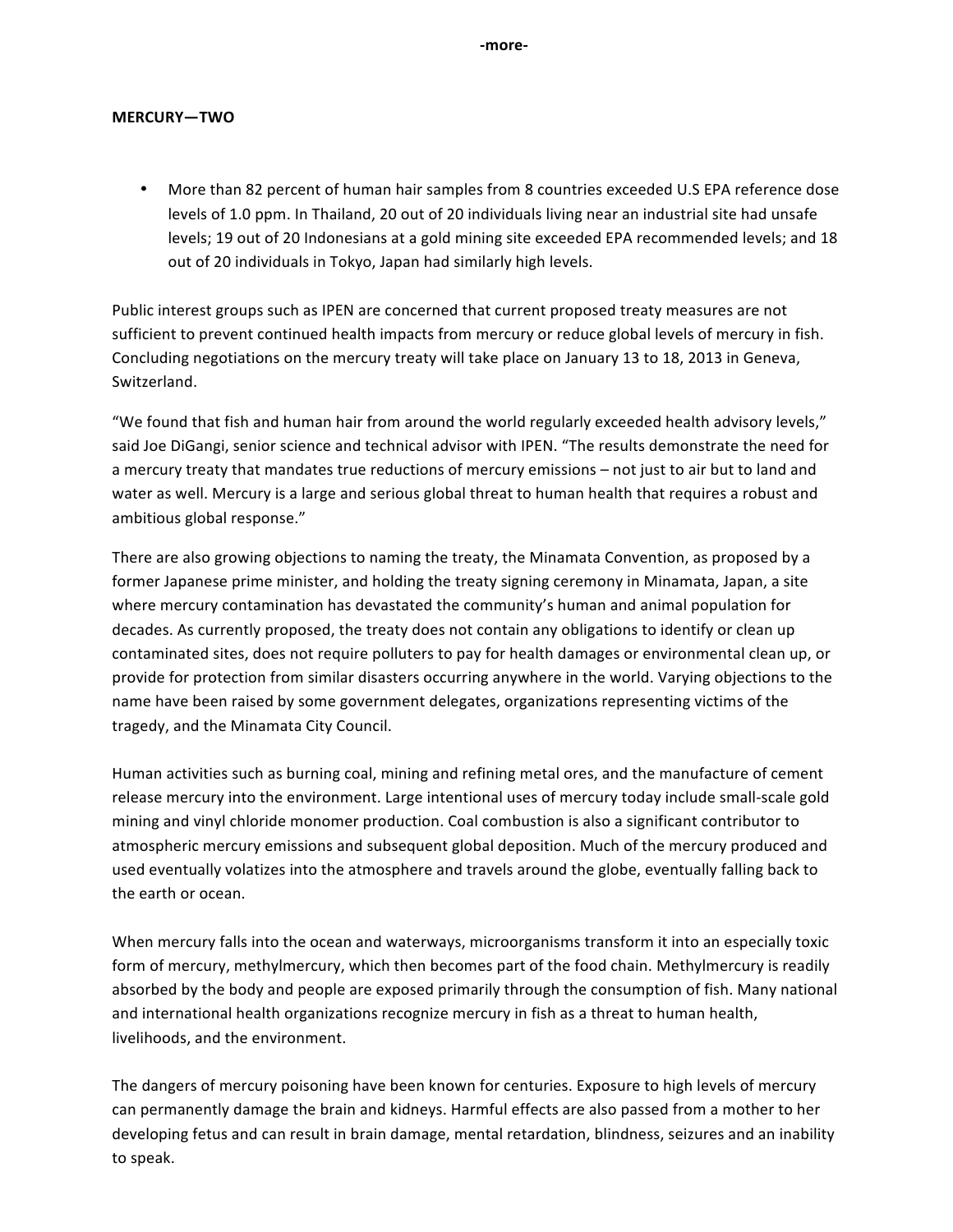**-more-**

## **MERCURY—TWO**

• More than 82 percent of human hair samples from 8 countries exceeded U.S EPA reference dose levels of 1.0 ppm. In Thailand, 20 out of 20 individuals living near an industrial site had unsafe levels; 19 out of 20 Indonesians at a gold mining site exceeded EPA recommended levels; and 18 out of 20 individuals in Tokyo, Japan had similarly high levels.

Public interest groups such as IPEN are concerned that current proposed treaty measures are not sufficient to prevent continued health impacts from mercury or reduce global levels of mercury in fish. Concluding negotiations on the mercury treaty will take place on January 13 to 18, 2013 in Geneva, Switzerland. 

"We found that fish and human hair from around the world regularly exceeded health advisory levels," said Joe DiGangi, senior science and technical advisor with IPEN. "The results demonstrate the need for a mercury treaty that mandates true reductions of mercury emissions – not just to air but to land and water as well. Mercury is a large and serious global threat to human health that requires a robust and ambitious global response."

There are also growing objections to naming the treaty, the Minamata Convention, as proposed by a former Japanese prime minister, and holding the treaty signing ceremony in Minamata, Japan, a site where mercury contamination has devastated the community's human and animal population for decades. As currently proposed, the treaty does not contain any obligations to identify or clean up contaminated sites, does not require polluters to pay for health damages or environmental clean up, or provide for protection from similar disasters occurring anywhere in the world. Varying objections to the name have been raised by some government delegates, organizations representing victims of the tragedy, and the Minamata City Council.

Human activities such as burning coal, mining and refining metal ores, and the manufacture of cement release mercury into the environment. Large intentional uses of mercury today include small-scale gold mining and vinyl chloride monomer production. Coal combustion is also a significant contributor to atmospheric mercury emissions and subsequent global deposition. Much of the mercury produced and used eventually volatizes into the atmosphere and travels around the globe, eventually falling back to the earth or ocean.

When mercury falls into the ocean and waterways, microorganisms transform it into an especially toxic form of mercury, methylmercury, which then becomes part of the food chain. Methylmercury is readily absorbed by the body and people are exposed primarily through the consumption of fish. Many national and international health organizations recognize mercury in fish as a threat to human health, livelihoods, and the environment.

The dangers of mercury poisoning have been known for centuries. Exposure to high levels of mercury can permanently damage the brain and kidneys. Harmful effects are also passed from a mother to her developing fetus and can result in brain damage, mental retardation, blindness, seizures and an inability to speak.